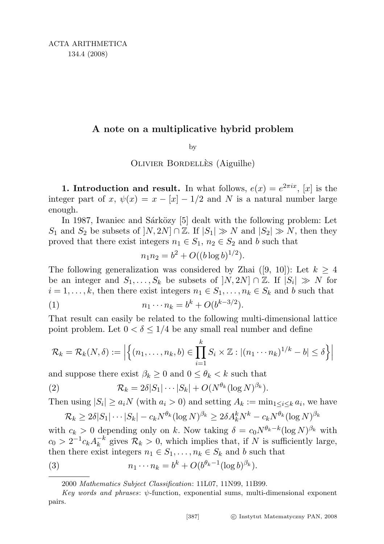## A note on a multiplicative hybrid problem

by

OLIVIER BORDELLES (Aiguilhe)

**1. Introduction and result.** In what follows,  $e(x) = e^{2\pi ix}$ , [x] is the integer part of x,  $\psi(x) = x - |x| - 1/2$  and N is a natural number large enough.

In 1987, Iwaniec and Sárközy [5] dealt with the following problem: Let S<sub>1</sub> and S<sub>2</sub> be subsets of  $[N, 2N] \cap \mathbb{Z}$ . If  $|S_1| \gg N$  and  $|S_2| \gg N$ , then they proved that there exist integers  $n_1 \in S_1$ ,  $n_2 \in S_2$  and b such that

$$
n_1 n_2 = b^2 + O((b \log b)^{1/2}).
$$

The following generalization was considered by Zhai ([9, 10]): Let  $k \geq 4$ be an integer and  $S_1, \ldots, S_k$  be subsets of  $[N, 2N] \cap \mathbb{Z}$ . If  $|S_i| \gg N$  for  $i = 1, \ldots, k$ , then there exist integers  $n_1 \in S_1, \ldots, n_k \in S_k$  and b such that (1)  $n_1 \cdots n_k = b^k + O(b^{k-3/2}).$ 

That result can easily be related to the following multi-dimensional lattice point problem. Let  $0 < \delta \leq 1/4$  be any small real number and define

$$
\mathcal{R}_k = \mathcal{R}_k(N,\delta) := \left| \left\{ (n_1,\ldots,n_k,b) \in \prod_{i=1}^k S_i \times \mathbb{Z} : |(n_1 \cdots n_k)^{1/k} - b| \le \delta \right\} \right|
$$

and suppose there exist  $\beta_k \geq 0$  and  $0 \leq \theta_k < k$  such that

(2) 
$$
\mathcal{R}_k = 2\delta|S_1|\cdots|S_k| + O(N^{\theta_k}(\log N)^{\beta_k}).
$$

Then using  $|S_i| \ge a_i N$  (with  $a_i > 0$ ) and setting  $A_k := \min_{1 \le i \le k} a_i$ , we have

$$
\mathcal{R}_k \geq 2\delta|S_1|\cdots|S_k| - c_kN^{\theta_k}(\log N)^{\beta_k} \geq 2\delta A_k^kN^k - c_kN^{\theta_k}(\log N)^{\beta_k}
$$

with  $c_k > 0$  depending only on k. Now taking  $\delta = c_0 N^{\theta_k - k} (\log N)^{\beta_k}$  with  $c_0 > 2^{-1} c_k A_k^{-k}$  $k_k^{-k}$  gives  $\mathcal{R}_k > 0$ , which implies that, if N is sufficiently large, then there exist integers  $n_1 \in S_1, \ldots, n_k \in S_k$  and b such that

(3) 
$$
n_1 \cdots n_k = b^k + O(b^{\theta_k - 1} (\log b)^{\beta_k}).
$$

2000 Mathematics Subject Classification: 11L07, 11N99, 11B99.

Key words and phrases:  $\psi$ -function, exponential sums, multi-dimensional exponent pairs.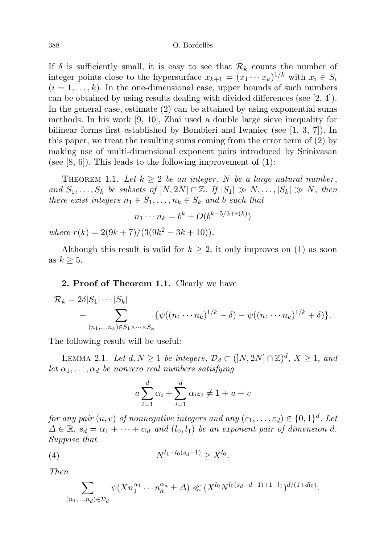If  $\delta$  is sufficiently small, it is easy to see that  $\mathcal{R}_k$  counts the number of integer points close to the hypersurface  $x_{k+1} = (x_1 \cdots x_k)^{1/k}$  with  $x_i \in S_i$  $(i = 1, \ldots, k)$ . In the one-dimensional case, upper bounds of such numbers can be obtained by using results dealing with divided differences (see [2, 4]). In the general case, estimate (2) can be attained by using exponential sums methods. In his work [9, 10], Zhai used a double large sieve inequality for bilinear forms first established by Bombieri and Iwaniec (see [1, 3, 7]). In this paper, we treat the resulting sums coming from the error term of (2) by making use of multi-dimensional exponent pairs introduced by Srinivasan (see  $[8, 6]$ ). This leads to the following improvement of  $(1)$ :

THEOREM 1.1. Let  $k \geq 2$  be an integer, N be a large natural number, and  $S_1, \ldots, S_k$  be subsets of  $[N, 2N] \cap \mathbb{Z}$ . If  $|S_1| \gg N, \ldots, |S_k| \gg N$ , then there exist integers  $n_1 \in S_1, \ldots, n_k \in S_k$  and b such that

$$
n_1 \cdots n_k = b^k + O(b^{k-5/3 + r(k)})
$$

where  $r(k) = 2(9k + 7)/(3(9k^2 - 3k + 10)).$ 

Although this result is valid for  $k \geq 2$ , it only improves on (1) as soon as  $k \geq 5$ .

## 2. Proof of Theorem 1.1. Clearly we have

$$
\mathcal{R}_k = 2\delta|S_1|\cdots|S_k| + \sum_{(n_1,\ldots,n_k)\in S_1\times\cdots\times S_k} \{\psi((n_1\cdots n_k)^{1/k} - \delta) - \psi((n_1\cdots n_k)^{1/k} + \delta)\}.
$$

The following result will be useful:

LEMMA 2.1. Let  $d, N \geq 1$  be integers,  $\mathcal{D}_d \subset (]N, 2N] \cap \mathbb{Z})^d$ ,  $X \geq 1$ , and let  $\alpha_1, \ldots, \alpha_d$  be nonzero real numbers satisfying

$$
u\sum_{i=1}^{d} \alpha_i + \sum_{i=1}^{d} \alpha_i \varepsilon_i \neq 1 + u + v
$$

for any pair  $(u, v)$  of nonnegative integers and any  $(\varepsilon_1, \ldots, \varepsilon_d) \in \{0, 1\}^d$ . Let  $\Delta \in \mathbb{R}$ ,  $s_d = \alpha_1 + \cdots + \alpha_d$  and  $(l_0, l_1)$  be an exponent pair of dimension d. Suppose that

(4) 
$$
N^{l_1-l_0(s_d-1)} \geq X^{l_0}.
$$

Then

$$
\sum_{(n_1,\ldots,n_d)\in\mathcal{D}_d} \psi(Xn_1^{\alpha_1}\cdots n_d^{\alpha_d} \pm \Delta) \ll (X^{l_0}N^{l_0(s_d+d-1)+1-l_1})^{d/(1+dl_0)}.
$$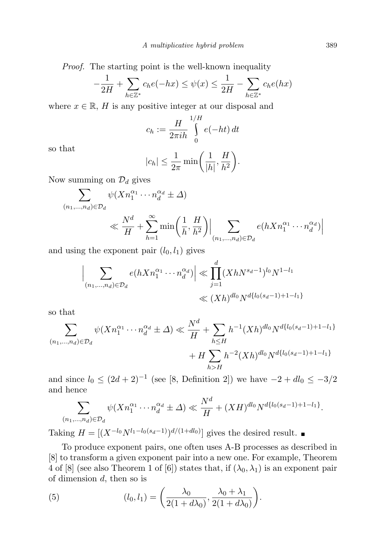Proof. The starting point is the well-known inequality

$$
-\frac{1}{2H} + \sum_{h \in \mathbb{Z}^*} c_h e(-hx) \le \psi(x) \le \frac{1}{2H} - \sum_{h \in \mathbb{Z}^*} c_h e(hx)
$$

where  $x \in \mathbb{R}$ , H is any positive integer at our disposal and

$$
c_h := \frac{H}{2\pi i h} \int\limits_0^{1/H} e(-ht) dt
$$

so that

$$
|c_h| \le \frac{1}{2\pi} \min\bigg(\frac{1}{|h|}, \frac{H}{h^2}\bigg).
$$

Now summing on  $\mathcal{D}_d$  gives

$$
\sum_{(n_1,\ldots,n_d)\in\mathcal{D}_d} \psi(Xn_1^{\alpha_1}\cdots n_d^{\alpha_d} \pm \Delta)
$$
\n
$$
\ll \frac{N^d}{H} + \sum_{h=1}^{\infty} \min\left(\frac{1}{h}, \frac{H}{h^2}\right) \Big| \sum_{(n_1,\ldots,n_d)\in\mathcal{D}_d} e(hXn_1^{\alpha_1}\cdots n_d^{\alpha_d}) \Big|
$$

and using the exponent pair  $(l_0, l_1)$  gives

$$
\left| \sum_{(n_1,\dots,n_d)\in \mathcal{D}_d} e(hXn_1^{\alpha_1}\cdots n_d^{\alpha_d}) \right| \ll \prod_{j=1}^d (XhN^{s_d-1})^{l_0} N^{1-l_1}
$$
  

$$
\ll (Xh)^{dl_0} N^{d\{l_0(s_d-1)+1-l_1\}}
$$

so that

$$
\sum_{(n_1,\dots,n_d)\in\mathcal{D}_d} \psi(Xn_1^{\alpha_1}\cdots n_d^{\alpha_d} \pm \Delta) \ll \frac{N^d}{H} + \sum_{h\leq H} h^{-1}(Xh)^{dl_0} N^{d\{l_0(s_d-1)+1-l_1\}} + H \sum_{h>H} h^{-2}(Xh)^{dl_0} N^{d\{l_0(s_d-1)+1-l_1\}}
$$

and since  $l_0 \leq (2d+2)^{-1}$  (see [8, Definition 2]) we have  $-2 + dl_0 \leq -3/2$ and hence

$$
\sum_{(n_1,\dots,n_d)\in\mathcal{D}_d} \psi(Xn_1^{\alpha_1}\cdots n_d^{\alpha_d} \pm \Delta) \ll \frac{N^d}{H} + (XH)^{dl_0} N^{d\{l_0(s_d-1)+1-l_1\}}.
$$

Taking  $H = \left[\left(X^{-l_0} N^{l_1 - l_0(s_d - 1)}\right)^{d/(1 + dl_0)}\right]$  gives the desired result.

To produce exponent pairs, one often uses A-B processes as described in [8] to transform a given exponent pair into a new one. For example, Theorem 4 of [8] (see also Theorem 1 of [6]) states that, if  $(\lambda_0, \lambda_1)$  is an exponent pair of dimension  $d$ , then so is

(5) 
$$
(l_0, l_1) = \left(\frac{\lambda_0}{2(1+d\lambda_0)}, \frac{\lambda_0 + \lambda_1}{2(1+d\lambda_0)}\right).
$$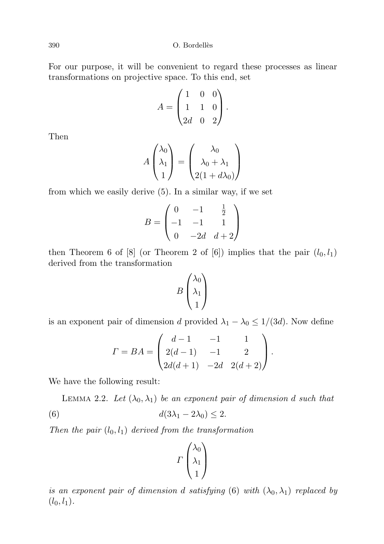For our purpose, it will be convenient to regard these processes as linear transformations on projective space. To this end, set

$$
A = \begin{pmatrix} 1 & 0 & 0 \\ 1 & 1 & 0 \\ 2d & 0 & 2 \end{pmatrix}.
$$

Then

$$
A\begin{pmatrix} \lambda_0 \\ \lambda_1 \\ 1 \end{pmatrix} = \begin{pmatrix} \lambda_0 \\ \lambda_0 + \lambda_1 \\ 2(1 + d\lambda_0) \end{pmatrix}
$$

from which we easily derive (5). In a similar way, if we set

$$
B = \begin{pmatrix} 0 & -1 & \frac{1}{2} \\ -1 & -1 & 1 \\ 0 & -2d & d+2 \end{pmatrix}
$$

then Theorem 6 of  $[8]$  (or Theorem 2 of  $[6]$ ) implies that the pair  $(l_0, l_1)$ derived from the transformation

$$
B\begin{pmatrix} \lambda_0 \\ \lambda_1 \\ 1 \end{pmatrix}
$$

is an exponent pair of dimension d provided  $\lambda_1 - \lambda_0 \leq 1/(3d)$ . Now define

$$
\Gamma = BA = \begin{pmatrix} d-1 & -1 & 1 \\ 2(d-1) & -1 & 2 \\ 2d(d+1) & -2d & 2(d+2) \end{pmatrix}.
$$

We have the following result:

LEMMA 2.2. Let  $(\lambda_0, \lambda_1)$  be an exponent pair of dimension d such that (6)  $d(3\lambda_1 - 2\lambda_0) \leq 2$ .

Then the pair  $(l_0, l_1)$  derived from the transformation

$$
\Gamma\begin{pmatrix} \lambda_0 \\ \lambda_1 \\ 1 \end{pmatrix}
$$

is an exponent pair of dimension d satisfying (6) with  $(\lambda_0, \lambda_1)$  replaced by  $(l_0, l_1).$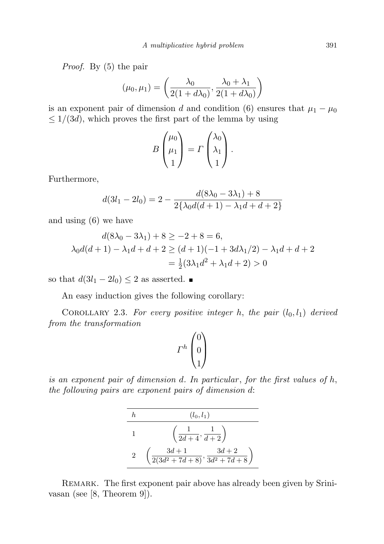Proof. By (5) the pair

$$
(\mu_0, \mu_1) = \left(\frac{\lambda_0}{2(1+d\lambda_0)}, \frac{\lambda_0 + \lambda_1}{2(1+d\lambda_0)}\right)
$$

is an exponent pair of dimension d and condition (6) ensures that  $\mu_1 - \mu_0$  $\leq 1/(3d)$ , which proves the first part of the lemma by using

$$
B\begin{pmatrix} \mu_0 \\ \mu_1 \\ 1 \end{pmatrix} = \Gamma \begin{pmatrix} \lambda_0 \\ \lambda_1 \\ 1 \end{pmatrix}.
$$

Furthermore,

$$
d(3l_1 - 2l_0) = 2 - \frac{d(8\lambda_0 - 3\lambda_1) + 8}{2\{\lambda_0 d(d+1) - \lambda_1 d + d + 2\}}
$$

and using (6) we have

$$
d(8\lambda_0 - 3\lambda_1) + 8 \ge -2 + 8 = 6,
$$
  
\n
$$
\lambda_0 d(d+1) - \lambda_1 d + d + 2 \ge (d+1)(-1 + 3d\lambda_1/2) - \lambda_1 d + d + 2
$$
  
\n
$$
= \frac{1}{2}(3\lambda_1 d^2 + \lambda_1 d + 2) > 0
$$

so that  $d(3l_1 - 2l_0) \leq 2$  as asserted.  $\blacksquare$ 

An easy induction gives the following corollary:

COROLLARY 2.3. For every positive integer h, the pair  $(l_0, l_1)$  derived from the transformation

$$
\varGamma^h \begin{pmatrix} 0 \\ 0 \\ 1 \end{pmatrix}
$$

is an exponent pair of dimension  $d$ . In particular, for the first values of  $h$ , the following pairs are exponent pairs of dimension d:

$$
\begin{array}{c|c}\nh & (l_0, l_1) \\
\hline\n1 & \left(\frac{1}{2d+4}, \frac{1}{d+2}\right) \\
2 & \left(\frac{3d+1}{2(3d^2+7d+8)}, \frac{3d+2}{3d^2+7d+8}\right)\n\end{array}
$$

REMARK. The first exponent pair above has already been given by Srinivasan (see [8, Theorem 9]).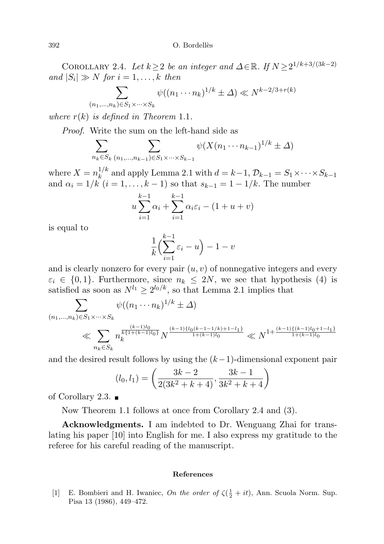COROLLARY 2.4. Let  $k \geq 2$  be an integer and  $\Delta \in \mathbb{R}$ . If  $N \geq 2^{1/k+3/(3k-2)}$ and  $|S_i| \gg N$  for  $i = 1, ..., k$  then

$$
\sum_{(n_1,\ldots,n_k)\in S_1\times\cdots\times S_k} \psi((n_1\cdots n_k)^{1/k} \pm \Delta) \ll N^{k-2/3+r(k)}
$$

where  $r(k)$  is defined in Theorem 1.1.

Proof. Write the sum on the left-hand side as

$$
\sum_{n_k \in S_k} \sum_{(n_1, ..., n_{k-1}) \in S_1 \times \dots \times S_{k-1}} \psi(X(n_1 \cdots n_{k-1})^{1/k} \pm \Delta)
$$

where  $X = n_k^{1/k}$  $k_k^{1/k}$  and apply Lemma 2.1 with  $d = k-1$ ,  $\mathcal{D}_{k-1} = S_1 \times \cdots \times S_{k-1}$ and  $\alpha_i = 1/k$   $(i = 1, ..., k - 1)$  so that  $s_{k-1} = 1 - 1/k$ . The number

$$
u\sum_{i=1}^{k-1} \alpha_i + \sum_{i=1}^{k-1} \alpha_i \varepsilon_i - (1 + u + v)
$$

is equal to

$$
\frac{1}{k} \left( \sum_{i=1}^{k-1} \varepsilon_i - u \right) - 1 - v
$$

and is clearly nonzero for every pair  $(u, v)$  of nonnegative integers and every  $\varepsilon_i \in \{0,1\}$ . Furthermore, since  $n_k \leq 2N$ , we see that hypothesis (4) is satisfied as soon as  $N^{l_1} \geq 2^{l_0/k}$ , so that Lemma 2.1 implies that

$$
\sum_{(n_1,\ldots,n_k)\in S_1\times\cdots\times S_k} \psi((n_1\cdots n_k)^{1/k} \pm \Delta)
$$
\n
$$
\ll \sum_{n_k\in S_k} n_k^{\frac{(k-1)l_0}{k\{1+(k-1)l_0\}}} N^{\frac{(k-1)l_0(k-1-1/k)+1-l_1\}}{1+(k-1)l_0}} \ll N^{1+\frac{(k-1)\{(k-1)l_0+1-l_1\}}{1+(k-1)l_0}}
$$

and the desired result follows by using the  $(k-1)$ -dimensional exponent pair

$$
(l_0, l_1) = \left(\frac{3k-2}{2(3k^2+k+4)}, \frac{3k-1}{3k^2+k+4}\right)
$$

of Corollary 2.3.  $\blacksquare$ 

Now Theorem 1.1 follows at once from Corollary 2.4 and (3).

Acknowledgments. I am indebted to Dr. Wenguang Zhai for translating his paper [10] into English for me. I also express my gratitude to the referee for his careful reading of the manuscript.

## References

[1] E. Bombieri and H. Iwaniec, On the order of  $\zeta(\frac{1}{2} + it)$ , Ann. Scuola Norm. Sup. Pisa 13 (1986), 449–472.